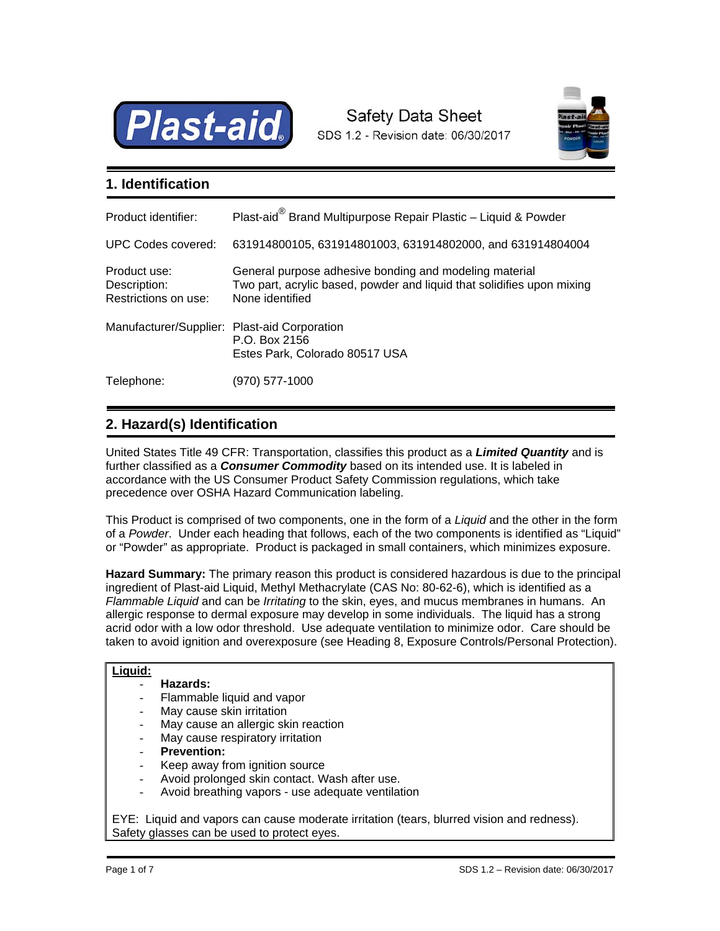

# Safety Data Sheet SDS 1.2 - Revision date: 06/30/2017



## **1. Identification**

| Product identifier:                                  | Plast-aid® Brand Multipurpose Repair Plastic - Liquid & Powder                                                                                      |
|------------------------------------------------------|-----------------------------------------------------------------------------------------------------------------------------------------------------|
| UPC Codes covered:                                   | 631914800105, 631914801003, 631914802000, and 631914804004                                                                                          |
| Product use:<br>Description:<br>Restrictions on use: | General purpose adhesive bonding and modeling material<br>Two part, acrylic based, powder and liquid that solidifies upon mixing<br>None identified |
| Manufacturer/Supplier: Plast-aid Corporation         | P.O. Box 2156<br>Estes Park, Colorado 80517 USA                                                                                                     |
| Telephone:                                           | (970) 577-1000                                                                                                                                      |

## E **2. Hazard(s) Identification**

United States Title 49 CFR: Transportation, classifies this product as a *Limited Quantity* and is further classified as a *Consumer Commodity* based on its intended use. It is labeled in accordance with the US Consumer Product Safety Commission regulations, which take precedence over OSHA Hazard Communication labeling.

This Product is comprised of two components, one in the form of a *Liquid* and the other in the form of a *Powder*. Under each heading that follows, each of the two components is identified as "Liquid" or "Powder" as appropriate. Product is packaged in small containers, which minimizes exposure.

**Hazard Summary:** The primary reason this product is considered hazardous is due to the principal ingredient of Plast-aid Liquid, Methyl Methacrylate (CAS No: 80-62-6), which is identified as a *Flammable Liquid* and can be *Irritating* to the skin, eyes, and mucus membranes in humans. An allergic response to dermal exposure may develop in some individuals. The liquid has a strong acrid odor with a low odor threshold. Use adequate ventilation to minimize odor. Care should be taken to avoid ignition and overexposure (see Heading 8, Exposure Controls/Personal Protection).

### **Liquid:**

### - **Hazards:**

- Flammable liquid and vapor
- May cause skin irritation
- May cause an allergic skin reaction
- May cause respiratory irritation
- **Prevention:**
- Keep away from ignition source
- Avoid prolonged skin contact. Wash after use.
- Avoid breathing vapors use adequate ventilation

EYE: Liquid and vapors can cause moderate irritation (tears, blurred vision and redness). Safety glasses can be used to protect eyes.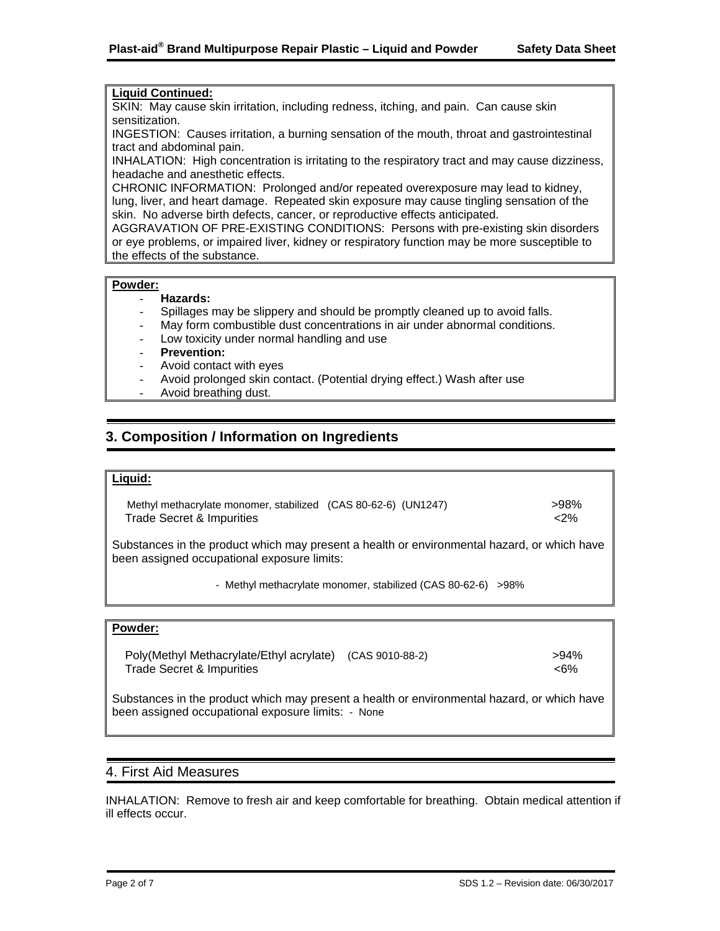### **Liquid Continued:**

SKIN: May cause skin irritation, including redness, itching, and pain. Can cause skin sensitization.

INGESTION: Causes irritation, a burning sensation of the mouth, throat and gastrointestinal tract and abdominal pain.

INHALATION: High concentration is irritating to the respiratory tract and may cause dizziness, headache and anesthetic effects.

CHRONIC INFORMATION: Prolonged and/or repeated overexposure may lead to kidney, lung, liver, and heart damage. Repeated skin exposure may cause tingling sensation of the skin. No adverse birth defects, cancer, or reproductive effects anticipated.

AGGRAVATION OF PRE-EXISTING CONDITIONS: Persons with pre-existing skin disorders or eye problems, or impaired liver, kidney or respiratory function may be more susceptible to the effects of the substance.

### **Powder:**

### - **Hazards:**

- Spillages may be slippery and should be promptly cleaned up to avoid falls.
- May form combustible dust concentrations in air under abnormal conditions.
- Low toxicity under normal handling and use
- **Prevention:**
- Avoid contact with eyes
- Avoid prolonged skin contact. (Potential drying effect.) Wash after use
- Avoid breathing dust.

## **3. Composition / Information on Ingredients**

## **Liquid:**

E

í

Methyl methacrylate monomer, stabilized (CAS 80-62-6) (UN1247) >98% >98% Trade Secret & Impurities  $\langle 2\%$ 

Substances in the product which may present a health or environmental hazard, or which have been assigned occupational exposure limits:

- Methyl methacrylate monomer, stabilized (CAS 80-62-6) >98%

### **Powder:**

 Poly(Methyl Methacrylate/Ethyl acrylate) (CAS 9010-88-2) >94% Trade Secret & Impurities  $\langle 6\%$ 

Substances in the product which may present a health or environmental hazard, or which have been assigned occupational exposure limits: - None

### 4. First Aid Measures

INHALATION: Remove to fresh air and keep comfortable for breathing. Obtain medical attention if ill effects occur.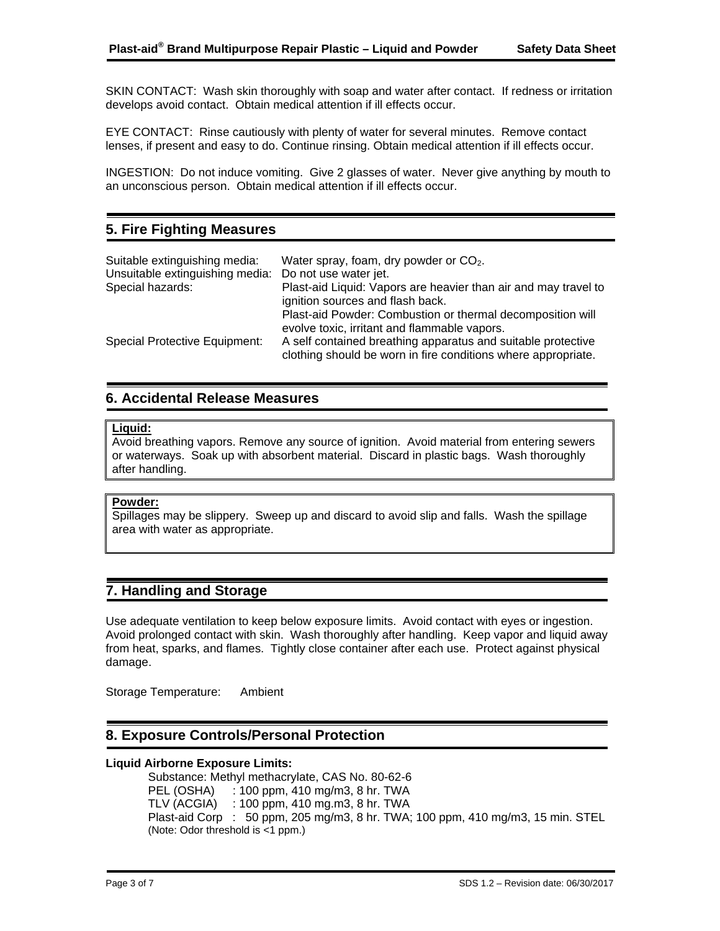SKIN CONTACT: Wash skin thoroughly with soap and water after contact. If redness or irritation develops avoid contact. Obtain medical attention if ill effects occur.

EYE CONTACT: Rinse cautiously with plenty of water for several minutes. Remove contact lenses, if present and easy to do. Continue rinsing. Obtain medical attention if ill effects occur.

INGESTION: Do not induce vomiting. Give 2 glasses of water. Never give anything by mouth to an unconscious person. Obtain medical attention if ill effects occur.

## **5. Fire Fighting Measures**

| Suitable extinguishing media:                         | Water spray, foam, dry powder or $CO2$ .                                                                                      |
|-------------------------------------------------------|-------------------------------------------------------------------------------------------------------------------------------|
| Unsuitable extinguishing media: Do not use water jet. |                                                                                                                               |
| Special hazards:                                      | Plast-aid Liquid: Vapors are heavier than air and may travel to                                                               |
|                                                       | ignition sources and flash back.                                                                                              |
|                                                       | Plast-aid Powder: Combustion or thermal decomposition will<br>evolve toxic, irritant and flammable vapors.                    |
| <b>Special Protective Equipment:</b>                  | A self contained breathing apparatus and suitable protective<br>clothing should be worn in fire conditions where appropriate. |

## **6. Accidental Release Measures**

### **Liquid:**

L

Avoid breathing vapors. Remove any source of ignition. Avoid material from entering sewers or waterways. Soak up with absorbent material. Discard in plastic bags. Wash thoroughly after handling.

### **Powder:**

Spillages may be slippery. Sweep up and discard to avoid slip and falls. Wash the spillage area with water as appropriate.

## **7. Handling and Storage**

Use adequate ventilation to keep below exposure limits. Avoid contact with eyes or ingestion. Avoid prolonged contact with skin. Wash thoroughly after handling. Keep vapor and liquid away from heat, sparks, and flames. Tightly close container after each use. Protect against physical damage.

Storage Temperature: Ambient

## **8. Exposure Controls/Personal Protection**

### **Liquid Airborne Exposure Limits:**

Substance: Methyl methacrylate, CAS No. 80-62-6 PEL (OSHA) : 100 ppm, 410 mg/m3, 8 hr. TWA TLV (ACGIA) : 100 ppm, 410 mg.m3, 8 hr. TWA Plast-aid Corp : 50 ppm, 205 mg/m3, 8 hr. TWA; 100 ppm, 410 mg/m3, 15 min. STEL (Note: Odor threshold is <1 ppm.)

ŗ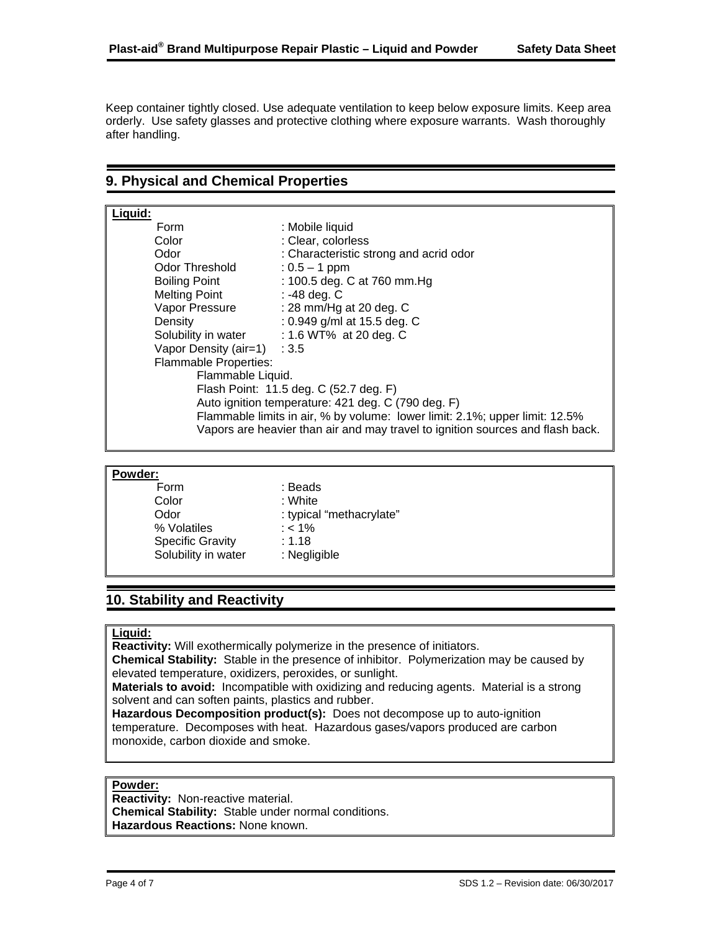Keep container tightly closed. Use adequate ventilation to keep below exposure limits. Keep area orderly. Use safety glasses and protective clothing where exposure warrants. Wash thoroughly after handling.

## **9. Physical and Chemical Properties**

| Liquid:                                                                        |                                        |  |  |  |
|--------------------------------------------------------------------------------|----------------------------------------|--|--|--|
| Form                                                                           | : Mobile liquid                        |  |  |  |
| Color                                                                          | : Clear, colorless                     |  |  |  |
| Odor                                                                           | : Characteristic strong and acrid odor |  |  |  |
| Odor Threshold                                                                 | : $0.5 - 1$ ppm                        |  |  |  |
| <b>Boiling Point</b>                                                           | : 100.5 deg. C at 760 mm. Hg           |  |  |  |
| <b>Melting Point</b>                                                           | : -48 deg. C                           |  |  |  |
| Vapor Pressure                                                                 | : 28 mm/Hg at 20 deg. $C$              |  |  |  |
| Density                                                                        | : 0.949 g/ml at 15.5 deg. C            |  |  |  |
| Solubility in water                                                            | : 1.6 WT% at 20 deg. C                 |  |  |  |
| Vapor Density (air=1) : 3.5                                                    |                                        |  |  |  |
| <b>Flammable Properties:</b>                                                   |                                        |  |  |  |
| Flammable Liquid.                                                              |                                        |  |  |  |
| Flash Point: 11.5 deg. C (52.7 deg. F)                                         |                                        |  |  |  |
| Auto ignition temperature: 421 deg. C (790 deg. F)                             |                                        |  |  |  |
| Flammable limits in air, % by volume: lower limit: 2.1%; upper limit: 12.5%    |                                        |  |  |  |
| Vapors are heavier than air and may travel to ignition sources and flash back. |                                        |  |  |  |

#### **Powder:**

1

j

| : Beads                  |
|--------------------------|
| : White                  |
| : typical "methacrylate" |
| $: < 1\%$                |
| : 1.18                   |
| : Negligible             |
|                          |

## **10. Stability and Reactivity**

### **Liquid:**

ŗ

**Reactivity:** Will exothermically polymerize in the presence of initiators.

**Chemical Stability:** Stable in the presence of inhibitor. Polymerization may be caused by elevated temperature, oxidizers, peroxides, or sunlight.

**Materials to avoid:** Incompatible with oxidizing and reducing agents. Material is a strong solvent and can soften paints, plastics and rubber.

**Hazardous Decomposition product(s):** Does not decompose up to auto-ignition temperature. Decomposes with heat. Hazardous gases/vapors produced are carbon monoxide, carbon dioxide and smoke.

#### **Powder:**

**Reactivity:** Non-reactive material. **Chemical Stability:** Stable under normal conditions. **Hazardous Reactions:** None known.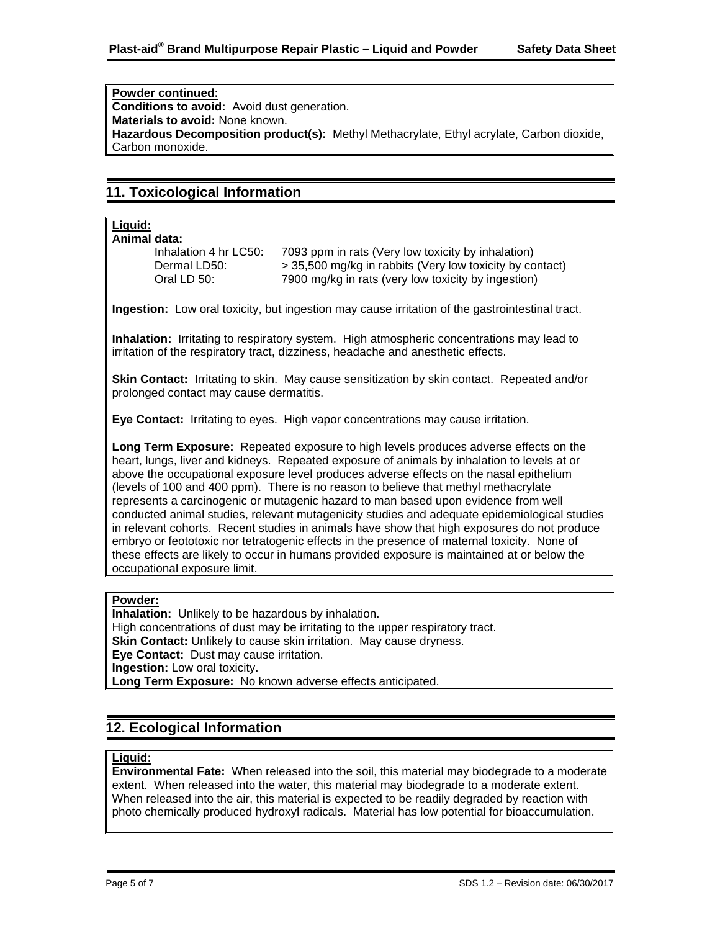**Powder continued: Conditions to avoid:** Avoid dust generation. **Materials to avoid:** None known. **Hazardous Decomposition product(s):** Methyl Methacrylate, Ethyl acrylate, Carbon dioxide, Carbon monoxide.

## **11. Toxicological Information**

#### **Liquid: Animal data:**

L

Inhalation 4 hr LC50: 7093 ppm in rats (Very low toxicity by inhalation) Dermal LD50: > 35,500 mg/kg in rabbits (Very low toxicity by contact) Oral LD 50: 7900 mg/kg in rats (very low toxicity by ingestion)

**Ingestion:** Low oral toxicity, but ingestion may cause irritation of the gastrointestinal tract.

**Inhalation:** Irritating to respiratory system. High atmospheric concentrations may lead to irritation of the respiratory tract, dizziness, headache and anesthetic effects.

**Skin Contact:** Irritating to skin. May cause sensitization by skin contact. Repeated and/or prolonged contact may cause dermatitis.

**Eye Contact:** Irritating to eyes. High vapor concentrations may cause irritation.

**Long Term Exposure:** Repeated exposure to high levels produces adverse effects on the heart, lungs, liver and kidneys. Repeated exposure of animals by inhalation to levels at or above the occupational exposure level produces adverse effects on the nasal epithelium (levels of 100 and 400 ppm). There is no reason to believe that methyl methacrylate represents a carcinogenic or mutagenic hazard to man based upon evidence from well conducted animal studies, relevant mutagenicity studies and adequate epidemiological studies in relevant cohorts. Recent studies in animals have show that high exposures do not produce embryo or feototoxic nor tetratogenic effects in the presence of maternal toxicity. None of these effects are likely to occur in humans provided exposure is maintained at or below the occupational exposure limit.

### **Powder:**

**Inhalation:** Unlikely to be hazardous by inhalation. High concentrations of dust may be irritating to the upper respiratory tract. **Skin Contact:** Unlikely to cause skin irritation. May cause dryness. **Eye Contact:** Dust may cause irritation. **Ingestion:** Low oral toxicity. **Long Term Exposure:** No known adverse effects anticipated.

### **12. Ecological Information**  ľ

### **Liquid:**

ľ

**Environmental Fate:** When released into the soil, this material may biodegrade to a moderate extent. When released into the water, this material may biodegrade to a moderate extent. When released into the air, this material is expected to be readily degraded by reaction with photo chemically produced hydroxyl radicals. Material has low potential for bioaccumulation.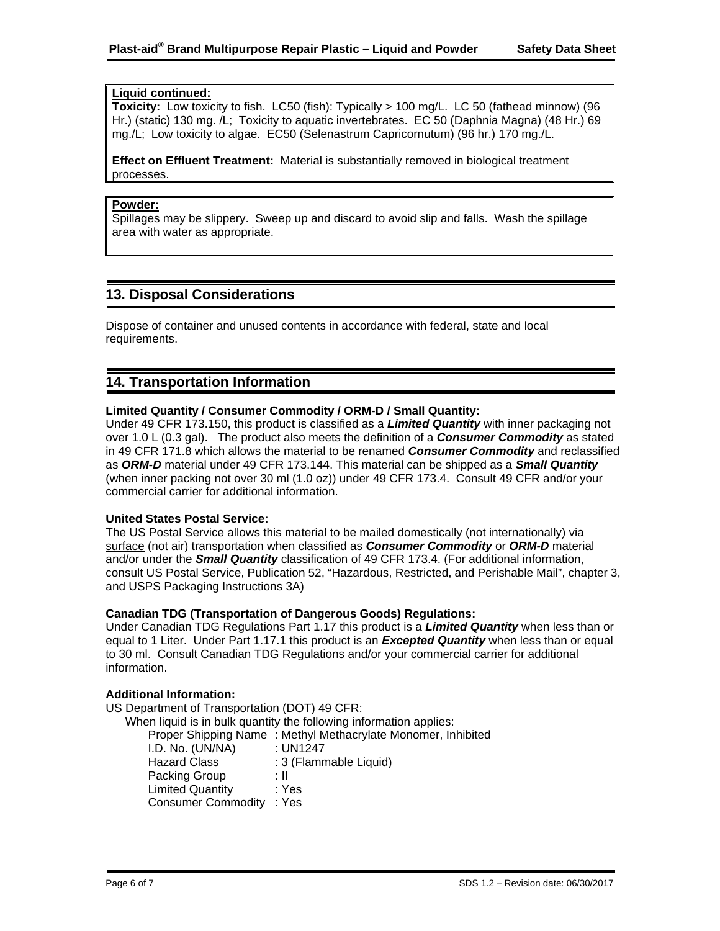### **Liquid continued:**

**Toxicity:** Low toxicity to fish. LC50 (fish): Typically > 100 mg/L. LC 50 (fathead minnow) (96 Hr.) (static) 130 mg. /L; Toxicity to aquatic invertebrates. EC 50 (Daphnia Magna) (48 Hr.) 69 mg./L; Low toxicity to algae. EC50 (Selenastrum Capricornutum) (96 hr.) 170 mg./L.

**Effect on Effluent Treatment:** Material is substantially removed in biological treatment processes.

#### **Powder:**

ŗ

ŗ

Spillages may be slippery. Sweep up and discard to avoid slip and falls. Wash the spillage area with water as appropriate.

## **13. Disposal Considerations**

Dispose of container and unused contents in accordance with federal, state and local requirements.

## **14. Transportation Information**

### **Limited Quantity / Consumer Commodity / ORM-D / Small Quantity:**

Under 49 CFR 173.150, this product is classified as a *Limited Quantity* with inner packaging not over 1.0 L (0.3 gal). The product also meets the definition of a *Consumer Commodity* as stated in 49 CFR 171.8 which allows the material to be renamed *Consumer Commodity* and reclassified as *ORM-D* material under 49 CFR 173.144. This material can be shipped as a *Small Quantity* (when inner packing not over 30 ml (1.0 oz)) under 49 CFR 173.4. Consult 49 CFR and/or your commercial carrier for additional information.

### **United States Postal Service:**

The US Postal Service allows this material to be mailed domestically (not internationally) via surface (not air) transportation when classified as *Consumer Commodity* or *ORM-D* material and/or under the *Small Quantity* classification of 49 CFR 173.4. (For additional information, consult US Postal Service, Publication 52, "Hazardous, Restricted, and Perishable Mail", chapter 3, and USPS Packaging Instructions 3A)

### **Canadian TDG (Transportation of Dangerous Goods) Regulations:**

Under Canadian TDG Regulations Part 1.17 this product is a *Limited Quantity* when less than or equal to 1 Liter. Under Part 1.17.1 this product is an *Excepted Quantity* when less than or equal to 30 ml. Consult Canadian TDG Regulations and/or your commercial carrier for additional information.

### **Additional Information:**

US Department of Transportation (DOT) 49 CFR:

When liquid is in bulk quantity the following information applies:

Proper Shipping Name : Methyl Methacrylate Monomer, Inhibited I.D. No. (UN/NA) : UN1247 Hazard Class : 3 (Flammable Liquid) Packing Group : II Limited Quantity : Yes Consumer Commodity : Yes